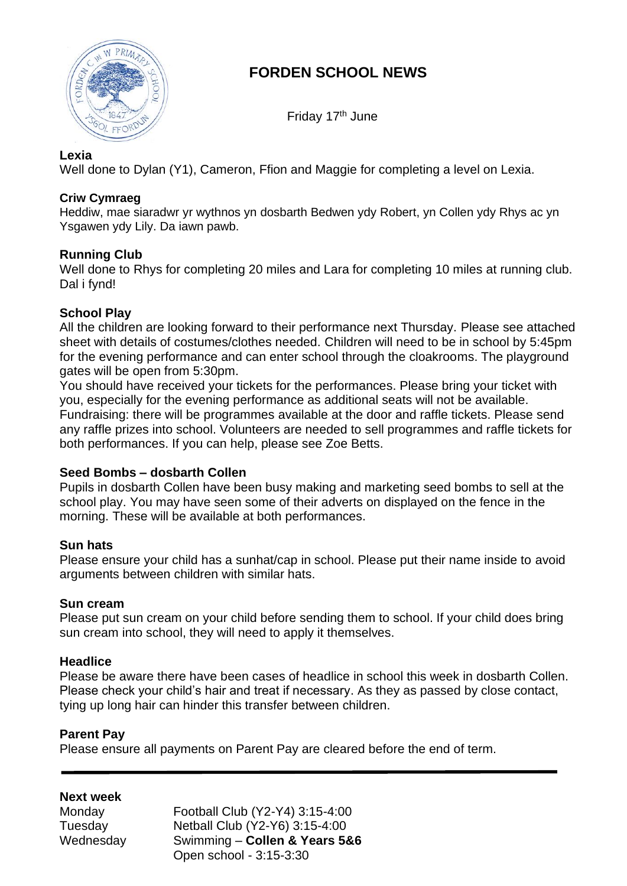

# **FORDEN SCHOOL NEWS**

Friday 17<sup>th</sup> June

## **Lexia**

Well done to Dylan (Y1), Cameron, Ffion and Maggie for completing a level on Lexia.

## **Criw Cymraeg**

Heddiw, mae siaradwr yr wythnos yn dosbarth Bedwen ydy Robert, yn Collen ydy Rhys ac yn Ysgawen ydy Lily. Da iawn pawb.

## **Running Club**

Well done to Rhys for completing 20 miles and Lara for completing 10 miles at running club. Dal i fynd!

# **School Play**

All the children are looking forward to their performance next Thursday. Please see attached sheet with details of costumes/clothes needed. Children will need to be in school by 5:45pm for the evening performance and can enter school through the cloakrooms. The playground gates will be open from 5:30pm.

You should have received your tickets for the performances. Please bring your ticket with you, especially for the evening performance as additional seats will not be available. Fundraising: there will be programmes available at the door and raffle tickets. Please send any raffle prizes into school. Volunteers are needed to sell programmes and raffle tickets for both performances. If you can help, please see Zoe Betts.

### **Seed Bombs – dosbarth Collen**

Pupils in dosbarth Collen have been busy making and marketing seed bombs to sell at the school play. You may have seen some of their adverts on displayed on the fence in the morning. These will be available at both performances.

# **Sun hats**

Please ensure your child has a sunhat/cap in school. Please put their name inside to avoid arguments between children with similar hats.

### **Sun cream**

Please put sun cream on your child before sending them to school. If your child does bring sun cream into school, they will need to apply it themselves.

### **Headlice**

Please be aware there have been cases of headlice in school this week in dosbarth Collen. Please check your child's hair and treat if necessary. As they as passed by close contact, tying up long hair can hinder this transfer between children.

### **Parent Pay**

Please ensure all payments on Parent Pay are cleared before the end of term.

# **Next week**

| Monday    | Football Club (Y2-Y4) 3:15-4:00 |
|-----------|---------------------------------|
| Tuesday   | Netball Club (Y2-Y6) 3:15-4:00  |
| Wednesday | Swimming - Collen & Years 5&6   |
|           | Open school - 3:15-3:30         |